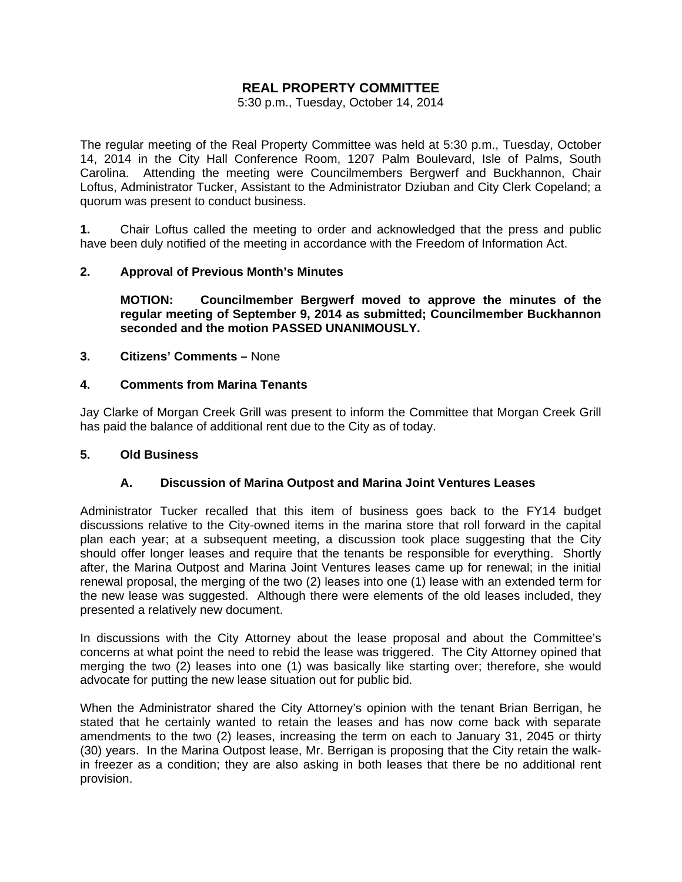# **REAL PROPERTY COMMITTEE**

5:30 p.m., Tuesday, October 14, 2014

The regular meeting of the Real Property Committee was held at 5:30 p.m., Tuesday, October 14, 2014 in the City Hall Conference Room, 1207 Palm Boulevard, Isle of Palms, South Carolina. Attending the meeting were Councilmembers Bergwerf and Buckhannon, Chair Loftus, Administrator Tucker, Assistant to the Administrator Dziuban and City Clerk Copeland; a quorum was present to conduct business.

**1.** Chair Loftus called the meeting to order and acknowledged that the press and public have been duly notified of the meeting in accordance with the Freedom of Information Act.

# **2. Approval of Previous Month's Minutes**

 **MOTION: Councilmember Bergwerf moved to approve the minutes of the regular meeting of September 9, 2014 as submitted; Councilmember Buckhannon seconded and the motion PASSED UNANIMOUSLY.** 

## **3. Citizens' Comments –** None

# **4. Comments from Marina Tenants**

Jay Clarke of Morgan Creek Grill was present to inform the Committee that Morgan Creek Grill has paid the balance of additional rent due to the City as of today.

## **5. Old Business**

## **A. Discussion of Marina Outpost and Marina Joint Ventures Leases**

Administrator Tucker recalled that this item of business goes back to the FY14 budget discussions relative to the City-owned items in the marina store that roll forward in the capital plan each year; at a subsequent meeting, a discussion took place suggesting that the City should offer longer leases and require that the tenants be responsible for everything. Shortly after, the Marina Outpost and Marina Joint Ventures leases came up for renewal; in the initial renewal proposal, the merging of the two (2) leases into one (1) lease with an extended term for the new lease was suggested. Although there were elements of the old leases included, they presented a relatively new document.

In discussions with the City Attorney about the lease proposal and about the Committee's concerns at what point the need to rebid the lease was triggered. The City Attorney opined that merging the two (2) leases into one (1) was basically like starting over; therefore, she would advocate for putting the new lease situation out for public bid.

When the Administrator shared the City Attorney's opinion with the tenant Brian Berrigan, he stated that he certainly wanted to retain the leases and has now come back with separate amendments to the two (2) leases, increasing the term on each to January 31, 2045 or thirty (30) years. In the Marina Outpost lease, Mr. Berrigan is proposing that the City retain the walkin freezer as a condition; they are also asking in both leases that there be no additional rent provision.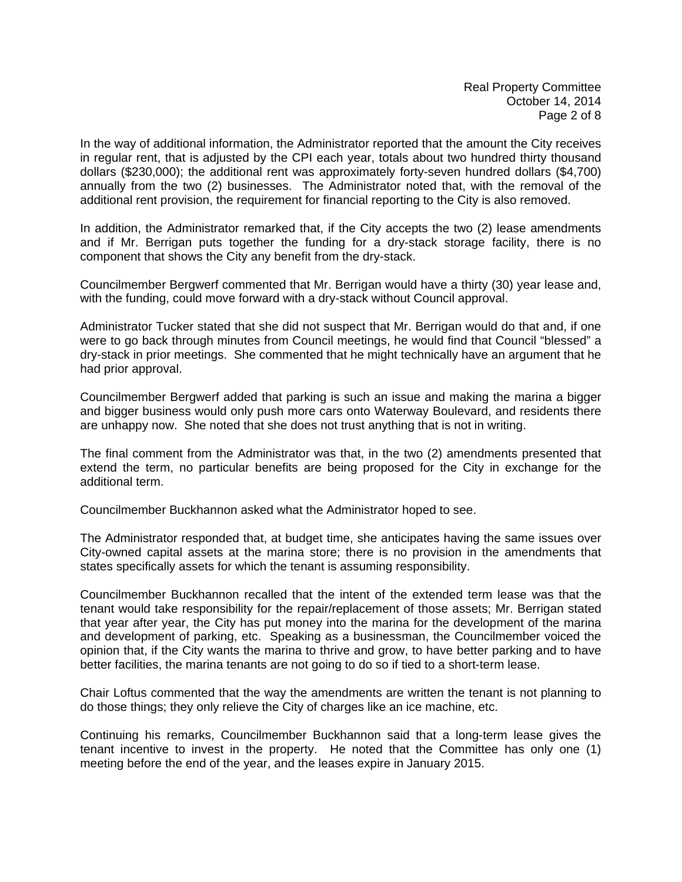Real Property Committee October 14, 2014 Page 2 of 8

In the way of additional information, the Administrator reported that the amount the City receives in regular rent, that is adjusted by the CPI each year, totals about two hundred thirty thousand dollars (\$230,000); the additional rent was approximately forty-seven hundred dollars (\$4,700) annually from the two (2) businesses. The Administrator noted that, with the removal of the additional rent provision, the requirement for financial reporting to the City is also removed.

In addition, the Administrator remarked that, if the City accepts the two (2) lease amendments and if Mr. Berrigan puts together the funding for a dry-stack storage facility, there is no component that shows the City any benefit from the dry-stack.

Councilmember Bergwerf commented that Mr. Berrigan would have a thirty (30) year lease and, with the funding, could move forward with a dry-stack without Council approval.

Administrator Tucker stated that she did not suspect that Mr. Berrigan would do that and, if one were to go back through minutes from Council meetings, he would find that Council "blessed" a dry-stack in prior meetings. She commented that he might technically have an argument that he had prior approval.

Councilmember Bergwerf added that parking is such an issue and making the marina a bigger and bigger business would only push more cars onto Waterway Boulevard, and residents there are unhappy now. She noted that she does not trust anything that is not in writing.

The final comment from the Administrator was that, in the two (2) amendments presented that extend the term, no particular benefits are being proposed for the City in exchange for the additional term.

Councilmember Buckhannon asked what the Administrator hoped to see.

The Administrator responded that, at budget time, she anticipates having the same issues over City-owned capital assets at the marina store; there is no provision in the amendments that states specifically assets for which the tenant is assuming responsibility.

Councilmember Buckhannon recalled that the intent of the extended term lease was that the tenant would take responsibility for the repair/replacement of those assets; Mr. Berrigan stated that year after year, the City has put money into the marina for the development of the marina and development of parking, etc. Speaking as a businessman, the Councilmember voiced the opinion that, if the City wants the marina to thrive and grow, to have better parking and to have better facilities, the marina tenants are not going to do so if tied to a short-term lease.

Chair Loftus commented that the way the amendments are written the tenant is not planning to do those things; they only relieve the City of charges like an ice machine, etc.

Continuing his remarks, Councilmember Buckhannon said that a long-term lease gives the tenant incentive to invest in the property. He noted that the Committee has only one (1) meeting before the end of the year, and the leases expire in January 2015.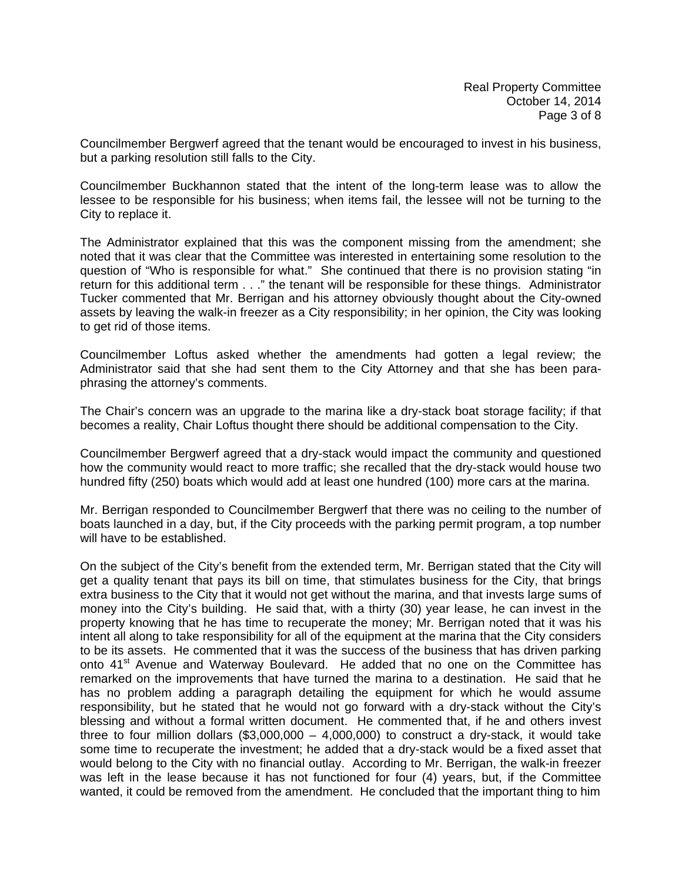Councilmember Bergwerf agreed that the tenant would be encouraged to invest in his business, but a parking resolution still falls to the City.

Councilmember Buckhannon stated that the intent of the long-term lease was to allow the lessee to be responsible for his business; when items fail, the lessee will not be turning to the City to replace it.

The Administrator explained that this was the component missing from the amendment; she noted that it was clear that the Committee was interested in entertaining some resolution to the question of "Who is responsible for what." She continued that there is no provision stating "in return for this additional term . . ." the tenant will be responsible for these things. Administrator Tucker commented that Mr. Berrigan and his attorney obviously thought about the City-owned assets by leaving the walk-in freezer as a City responsibility; in her opinion, the City was looking to get rid of those items.

Councilmember Loftus asked whether the amendments had gotten a legal review; the Administrator said that she had sent them to the City Attorney and that she has been paraphrasing the attorney's comments.

The Chair's concern was an upgrade to the marina like a dry-stack boat storage facility; if that becomes a reality, Chair Loftus thought there should be additional compensation to the City.

Councilmember Bergwerf agreed that a dry-stack would impact the community and questioned how the community would react to more traffic; she recalled that the dry-stack would house two hundred fifty (250) boats which would add at least one hundred (100) more cars at the marina.

Mr. Berrigan responded to Councilmember Bergwerf that there was no ceiling to the number of boats launched in a day, but, if the City proceeds with the parking permit program, a top number will have to be established.

On the subject of the City's benefit from the extended term, Mr. Berrigan stated that the City will get a quality tenant that pays its bill on time, that stimulates business for the City, that brings extra business to the City that it would not get without the marina, and that invests large sums of money into the City's building. He said that, with a thirty (30) year lease, he can invest in the property knowing that he has time to recuperate the money; Mr. Berrigan noted that it was his intent all along to take responsibility for all of the equipment at the marina that the City considers to be its assets. He commented that it was the success of the business that has driven parking onto 41<sup>st</sup> Avenue and Waterway Boulevard. He added that no one on the Committee has remarked on the improvements that have turned the marina to a destination. He said that he has no problem adding a paragraph detailing the equipment for which he would assume responsibility, but he stated that he would not go forward with a dry-stack without the City's blessing and without a formal written document. He commented that, if he and others invest three to four million dollars  $(\$3,000,000 - 4,000,000)$  to construct a dry-stack, it would take some time to recuperate the investment; he added that a dry-stack would be a fixed asset that would belong to the City with no financial outlay. According to Mr. Berrigan, the walk-in freezer was left in the lease because it has not functioned for four (4) years, but, if the Committee wanted, it could be removed from the amendment. He concluded that the important thing to him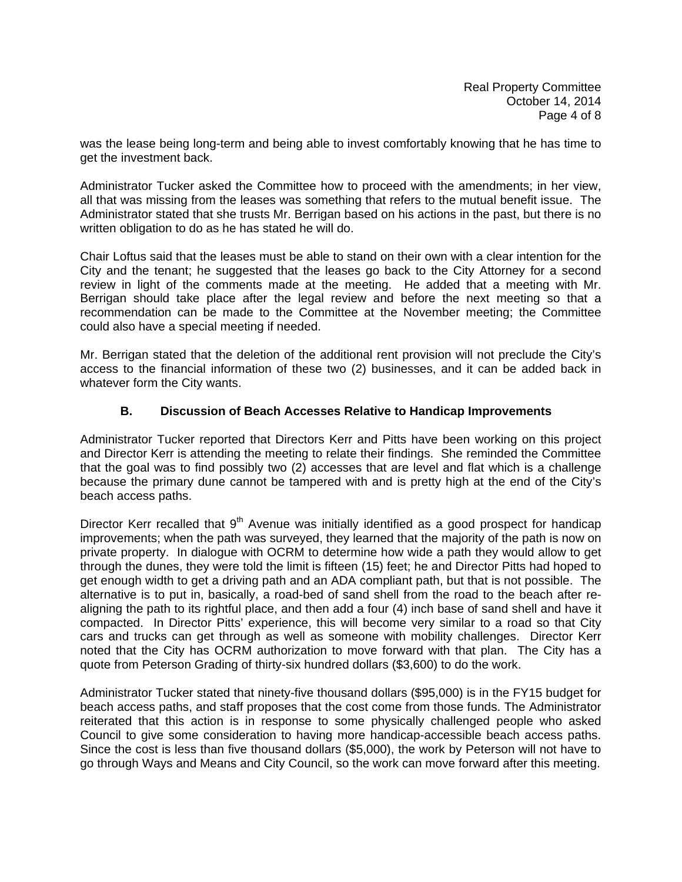was the lease being long-term and being able to invest comfortably knowing that he has time to get the investment back.

Administrator Tucker asked the Committee how to proceed with the amendments; in her view, all that was missing from the leases was something that refers to the mutual benefit issue. The Administrator stated that she trusts Mr. Berrigan based on his actions in the past, but there is no written obligation to do as he has stated he will do.

Chair Loftus said that the leases must be able to stand on their own with a clear intention for the City and the tenant; he suggested that the leases go back to the City Attorney for a second review in light of the comments made at the meeting. He added that a meeting with Mr. Berrigan should take place after the legal review and before the next meeting so that a recommendation can be made to the Committee at the November meeting; the Committee could also have a special meeting if needed.

Mr. Berrigan stated that the deletion of the additional rent provision will not preclude the City's access to the financial information of these two (2) businesses, and it can be added back in whatever form the City wants.

# **B. Discussion of Beach Accesses Relative to Handicap Improvements**

Administrator Tucker reported that Directors Kerr and Pitts have been working on this project and Director Kerr is attending the meeting to relate their findings. She reminded the Committee that the goal was to find possibly two (2) accesses that are level and flat which is a challenge because the primary dune cannot be tampered with and is pretty high at the end of the City's beach access paths.

Director Kerr recalled that  $9<sup>th</sup>$  Avenue was initially identified as a good prospect for handicap improvements; when the path was surveyed, they learned that the majority of the path is now on private property. In dialogue with OCRM to determine how wide a path they would allow to get through the dunes, they were told the limit is fifteen (15) feet; he and Director Pitts had hoped to get enough width to get a driving path and an ADA compliant path, but that is not possible. The alternative is to put in, basically, a road-bed of sand shell from the road to the beach after realigning the path to its rightful place, and then add a four (4) inch base of sand shell and have it compacted. In Director Pitts' experience, this will become very similar to a road so that City cars and trucks can get through as well as someone with mobility challenges. Director Kerr noted that the City has OCRM authorization to move forward with that plan. The City has a quote from Peterson Grading of thirty-six hundred dollars (\$3,600) to do the work.

Administrator Tucker stated that ninety-five thousand dollars (\$95,000) is in the FY15 budget for beach access paths, and staff proposes that the cost come from those funds. The Administrator reiterated that this action is in response to some physically challenged people who asked Council to give some consideration to having more handicap-accessible beach access paths. Since the cost is less than five thousand dollars (\$5,000), the work by Peterson will not have to go through Ways and Means and City Council, so the work can move forward after this meeting.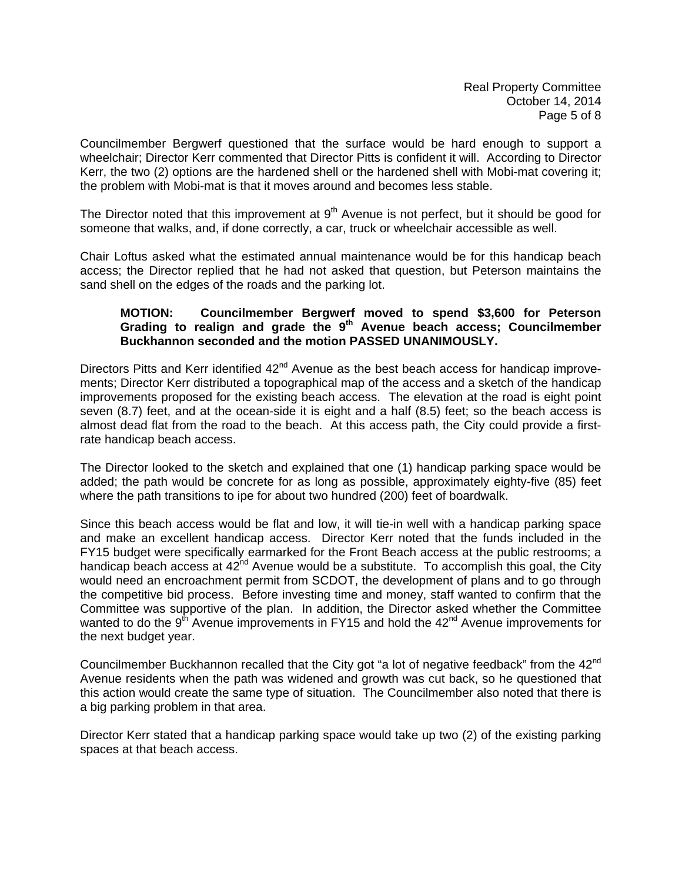Councilmember Bergwerf questioned that the surface would be hard enough to support a wheelchair; Director Kerr commented that Director Pitts is confident it will. According to Director Kerr, the two (2) options are the hardened shell or the hardened shell with Mobi-mat covering it; the problem with Mobi-mat is that it moves around and becomes less stable.

The Director noted that this improvement at  $9<sup>th</sup>$  Avenue is not perfect, but it should be good for someone that walks, and, if done correctly, a car, truck or wheelchair accessible as well.

Chair Loftus asked what the estimated annual maintenance would be for this handicap beach access; the Director replied that he had not asked that question, but Peterson maintains the sand shell on the edges of the roads and the parking lot.

# **MOTION: Councilmember Bergwerf moved to spend \$3,600 for Peterson**  Grading to realign and grade the 9<sup>th</sup> Avenue beach access; Councilmember  **Buckhannon seconded and the motion PASSED UNANIMOUSLY.**

Directors Pitts and Kerr identified  $42<sup>nd</sup>$  Avenue as the best beach access for handicap improvements; Director Kerr distributed a topographical map of the access and a sketch of the handicap improvements proposed for the existing beach access. The elevation at the road is eight point seven (8.7) feet, and at the ocean-side it is eight and a half (8.5) feet; so the beach access is almost dead flat from the road to the beach. At this access path, the City could provide a firstrate handicap beach access.

The Director looked to the sketch and explained that one (1) handicap parking space would be added; the path would be concrete for as long as possible, approximately eighty-five (85) feet where the path transitions to ipe for about two hundred (200) feet of boardwalk.

Since this beach access would be flat and low, it will tie-in well with a handicap parking space and make an excellent handicap access. Director Kerr noted that the funds included in the FY15 budget were specifically earmarked for the Front Beach access at the public restrooms; a handicap beach access at  $42^{nd}$  Avenue would be a substitute. To accomplish this goal, the City would need an encroachment permit from SCDOT, the development of plans and to go through the competitive bid process. Before investing time and money, staff wanted to confirm that the Committee was supportive of the plan. In addition, the Director asked whether the Committee wanted to do the  $9<sup>th</sup>$  Avenue improvements in FY15 and hold the  $42<sup>nd</sup>$  Avenue improvements for the next budget year.

Councilmember Buckhannon recalled that the City got "a lot of negative feedback" from the 42<sup>nd</sup> Avenue residents when the path was widened and growth was cut back, so he questioned that this action would create the same type of situation. The Councilmember also noted that there is a big parking problem in that area.

Director Kerr stated that a handicap parking space would take up two (2) of the existing parking spaces at that beach access.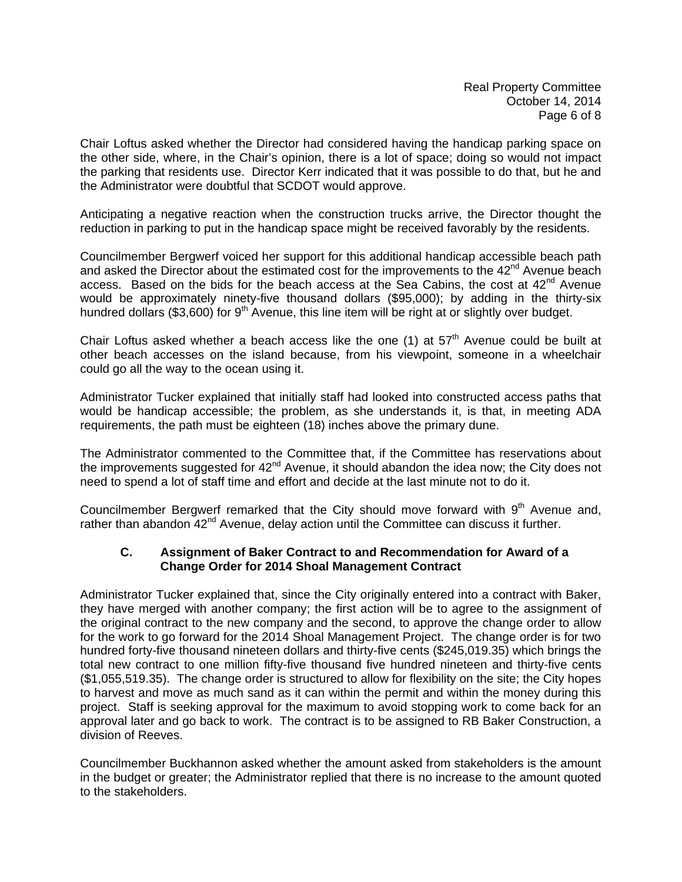Chair Loftus asked whether the Director had considered having the handicap parking space on the other side, where, in the Chair's opinion, there is a lot of space; doing so would not impact the parking that residents use. Director Kerr indicated that it was possible to do that, but he and the Administrator were doubtful that SCDOT would approve.

Anticipating a negative reaction when the construction trucks arrive, the Director thought the reduction in parking to put in the handicap space might be received favorably by the residents.

Councilmember Bergwerf voiced her support for this additional handicap accessible beach path and asked the Director about the estimated cost for the improvements to the 42<sup>nd</sup> Avenue beach access. Based on the bids for the beach access at the Sea Cabins, the cost at  $42<sup>nd</sup>$  Avenue would be approximately ninety-five thousand dollars (\$95,000); by adding in the thirty-six hundred dollars (\$3,600) for 9<sup>th</sup> Avenue, this line item will be right at or slightly over budget.

Chair Loftus asked whether a beach access like the one (1) at  $57<sup>th</sup>$  Avenue could be built at other beach accesses on the island because, from his viewpoint, someone in a wheelchair could go all the way to the ocean using it.

Administrator Tucker explained that initially staff had looked into constructed access paths that would be handicap accessible; the problem, as she understands it, is that, in meeting ADA requirements, the path must be eighteen (18) inches above the primary dune.

The Administrator commented to the Committee that, if the Committee has reservations about the improvements suggested for  $42<sup>nd</sup>$  Avenue, it should abandon the idea now; the City does not need to spend a lot of staff time and effort and decide at the last minute not to do it.

Councilmember Bergwerf remarked that the City should move forward with  $9<sup>th</sup>$  Avenue and, rather than abandon 42<sup>nd</sup> Avenue, delay action until the Committee can discuss it further.

# **C. Assignment of Baker Contract to and Recommendation for Award of a Change Order for 2014 Shoal Management Contract**

Administrator Tucker explained that, since the City originally entered into a contract with Baker, they have merged with another company; the first action will be to agree to the assignment of the original contract to the new company and the second, to approve the change order to allow for the work to go forward for the 2014 Shoal Management Project. The change order is for two hundred forty-five thousand nineteen dollars and thirty-five cents (\$245,019.35) which brings the total new contract to one million fifty-five thousand five hundred nineteen and thirty-five cents (\$1,055,519.35). The change order is structured to allow for flexibility on the site; the City hopes to harvest and move as much sand as it can within the permit and within the money during this project. Staff is seeking approval for the maximum to avoid stopping work to come back for an approval later and go back to work. The contract is to be assigned to RB Baker Construction, a division of Reeves.

Councilmember Buckhannon asked whether the amount asked from stakeholders is the amount in the budget or greater; the Administrator replied that there is no increase to the amount quoted to the stakeholders.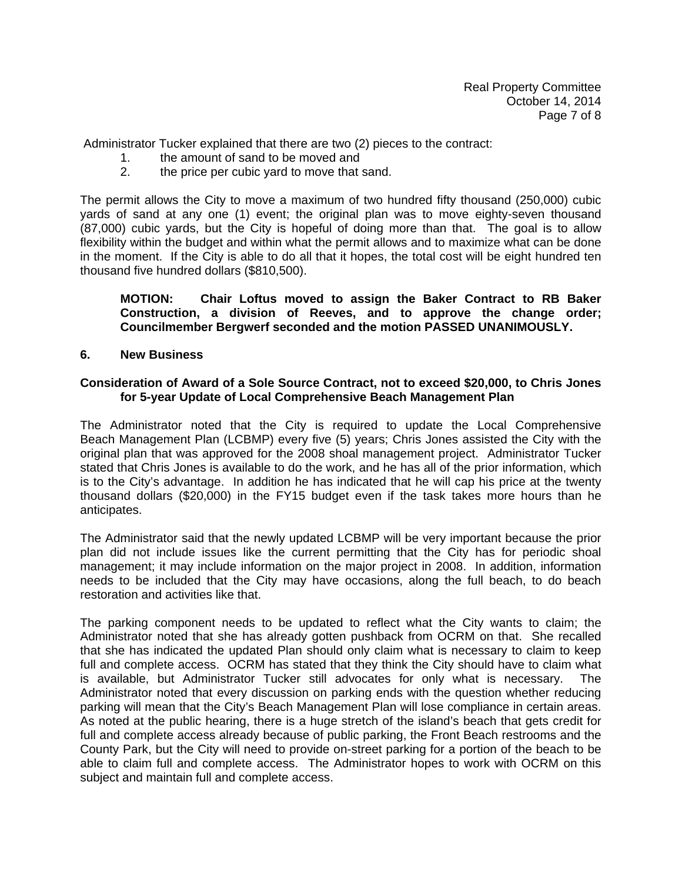Administrator Tucker explained that there are two (2) pieces to the contract:

- 1. the amount of sand to be moved and
- 2. the price per cubic yard to move that sand.

The permit allows the City to move a maximum of two hundred fifty thousand (250,000) cubic yards of sand at any one (1) event; the original plan was to move eighty-seven thousand (87,000) cubic yards, but the City is hopeful of doing more than that. The goal is to allow flexibility within the budget and within what the permit allows and to maximize what can be done in the moment. If the City is able to do all that it hopes, the total cost will be eight hundred ten thousand five hundred dollars (\$810,500).

## **MOTION: Chair Loftus moved to assign the Baker Contract to RB Baker Construction, a division of Reeves, and to approve the change order; Councilmember Bergwerf seconded and the motion PASSED UNANIMOUSLY.**

# **6. New Business**

# **Consideration of Award of a Sole Source Contract, not to exceed \$20,000, to Chris Jones for 5-year Update of Local Comprehensive Beach Management Plan**

The Administrator noted that the City is required to update the Local Comprehensive Beach Management Plan (LCBMP) every five (5) years; Chris Jones assisted the City with the original plan that was approved for the 2008 shoal management project. Administrator Tucker stated that Chris Jones is available to do the work, and he has all of the prior information, which is to the City's advantage. In addition he has indicated that he will cap his price at the twenty thousand dollars (\$20,000) in the FY15 budget even if the task takes more hours than he anticipates.

The Administrator said that the newly updated LCBMP will be very important because the prior plan did not include issues like the current permitting that the City has for periodic shoal management; it may include information on the major project in 2008. In addition, information needs to be included that the City may have occasions, along the full beach, to do beach restoration and activities like that.

The parking component needs to be updated to reflect what the City wants to claim; the Administrator noted that she has already gotten pushback from OCRM on that. She recalled that she has indicated the updated Plan should only claim what is necessary to claim to keep full and complete access. OCRM has stated that they think the City should have to claim what is available, but Administrator Tucker still advocates for only what is necessary. The Administrator noted that every discussion on parking ends with the question whether reducing parking will mean that the City's Beach Management Plan will lose compliance in certain areas. As noted at the public hearing, there is a huge stretch of the island's beach that gets credit for full and complete access already because of public parking, the Front Beach restrooms and the County Park, but the City will need to provide on-street parking for a portion of the beach to be able to claim full and complete access. The Administrator hopes to work with OCRM on this subject and maintain full and complete access.